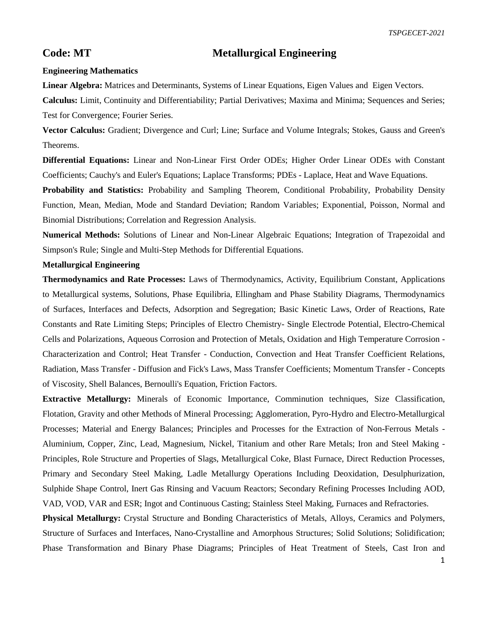## **Code: MT Metallurgical Engineering**

## **Engineering Mathematics**

**Linear Algebra:** Matrices and Determinants, Systems of Linear Equations, Eigen Values and Eigen Vectors.

**Calculus:** Limit, Continuity and Differentiability; Partial Derivatives; Maxima and Minima; Sequences and Series; Test for Convergence; Fourier Series.

**Vector Calculus:** Gradient; Divergence and Curl; Line; Surface and Volume Integrals; Stokes, Gauss and Green's Theorems.

**Differential Equations:** Linear and Non-Linear First Order ODEs; Higher Order Linear ODEs with Constant Coefficients; Cauchy's and Euler's Equations; Laplace Transforms; PDEs - Laplace, Heat and Wave Equations.

**Probability and Statistics:** Probability and Sampling Theorem, Conditional Probability, Probability Density Function, Mean, Median, Mode and Standard Deviation; Random Variables; Exponential, Poisson, Normal and Binomial Distributions; Correlation and Regression Analysis.

**Numerical Methods:** Solutions of Linear and Non-Linear Algebraic Equations; Integration of Trapezoidal and Simpson's Rule; Single and Multi-Step Methods for Differential Equations.

## **Metallurgical Engineering**

**Thermodynamics and Rate Processes:** Laws of Thermodynamics, Activity, Equilibrium Constant, Applications to Metallurgical systems, Solutions, Phase Equilibria, Ellingham and Phase Stability Diagrams, Thermodynamics of Surfaces, Interfaces and Defects, Adsorption and Segregation; Basic Kinetic Laws, Order of Reactions, Rate Constants and Rate Limiting Steps; Principles of Electro Chemistry- Single Electrode Potential, Electro-Chemical Cells and Polarizations, Aqueous Corrosion and Protection of Metals, Oxidation and High Temperature Corrosion - Characterization and Control; Heat Transfer - Conduction, Convection and Heat Transfer Coefficient Relations, Radiation, Mass Transfer - Diffusion and Fick's Laws, Mass Transfer Coefficients; Momentum Transfer - Concepts of Viscosity, Shell Balances, Bernoulli's Equation, Friction Factors.

**Extractive Metallurgy:** Minerals of Economic Importance, Comminution techniques, Size Classification, Flotation, Gravity and other Methods of Mineral Processing; Agglomeration, Pyro-Hydro and Electro-Metallurgical Processes; Material and Energy Balances; Principles and Processes for the Extraction of Non-Ferrous Metals - Aluminium, Copper, Zinc, Lead, Magnesium, Nickel, Titanium and other Rare Metals; Iron and Steel Making - Principles, Role Structure and Properties of Slags, Metallurgical Coke, Blast Furnace, Direct Reduction Processes, Primary and Secondary Steel Making, Ladle Metallurgy Operations Including Deoxidation, Desulphurization, Sulphide Shape Control, Inert Gas Rinsing and Vacuum Reactors; Secondary Refining Processes Including AOD, VAD, VOD, VAR and ESR; Ingot and Continuous Casting; Stainless Steel Making, Furnaces and Refractories.

**Physical Metallurgy:** Crystal Structure and Bonding Characteristics of Metals, Alloys, Ceramics and Polymers, Structure of Surfaces and Interfaces, Nano-Crystalline and Amorphous Structures; Solid Solutions; Solidification; Phase Transformation and Binary Phase Diagrams; Principles of Heat Treatment of Steels, Cast Iron and